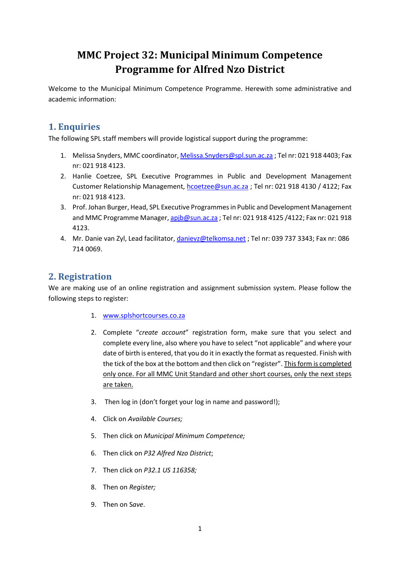# **MMC Project 32: Municipal Minimum Competence Programme for Alfred Nzo District**

Welcome to the Municipal Minimum Competence Programme. Herewith some administrative and academic information:

## **1. Enquiries**

The following SPL staff members will provide logistical support during the programme:

- 1. Melissa Snyders, MMC coordinator[, Melissa.Snyders@spl.sun.ac.za](mailto:Melissa.Snyders@spl.sun.ac.za) ; Tel nr: 021 918 4403; Fax nr: 021 918 4123.
- 2. Hanlie Coetzee, SPL Executive Programmes in Public and Development Management Customer Relationship Management, [hcoetzee@sun.ac.za](mailto:hcoetzee@sun.ac.za) ; Tel nr: 021 918 4130 / 4122; Fax nr: 021 918 4123.
- 3. Prof. Johan Burger, Head, SPL Executive Programmes in Public and Development Management and MMC Programme Manager, [apjb@sun.ac.za](mailto:apjb@sun.ac.za) ; Tel nr: 021 918 4125 /4122; Fax nr: 021 918 4123.
- 4. Mr. Danie van Zyl, Lead facilitator, [danievz@telkomsa.net](mailto:danievz@telkomsa.net) ; Tel nr: 039 737 3343; Fax nr: 086 714 0069.

## **2. Registration**

We are making use of an online registration and assignment submission system. Please follow the following steps to register:

- 1. [www.splshortcourses.co.za](http://www.splshortcourses.co.za/)
- 2. Complete "*create account*" registration form, make sure that you select and complete every line, also where you have to select "not applicable" and where your date of birth is entered, that you do it in exactly the format as requested. Finish with the tick of the box at the bottom and then click on "register". This form is completed only once. For all MMC Unit Standard and other short courses, only the next steps are taken.
- 3. Then log in (don't forget your log in name and password!);
- 4. Click on *Available Courses;*
- 5. Then click on *Municipal Minimum Competence;*
- 6. Then click on *P32 Alfred Nzo District*;
- 7. Then click on *P32.1 US 116358;*
- 8. Then on *Register;*
- 9. Then on S*ave*.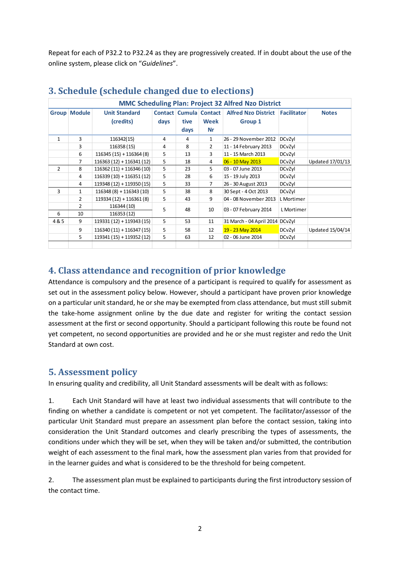Repeat for each of P32.2 to P32.24 as they are progressively created. If in doubt about the use of the online system, please click on "*Guidelines*".

| <b>MMC Scheduling Plan: Project 32 Alfred Nzo District</b> |                |                           |      |      |                               |                                 |                    |                  |
|------------------------------------------------------------|----------------|---------------------------|------|------|-------------------------------|---------------------------------|--------------------|------------------|
| <b>Group</b>                                               | <b>Module</b>  | <b>Unit Standard</b>      |      |      | <b>Contact Cumula Contact</b> | <b>Alfred Nzo District</b>      | <b>Facilitator</b> | <b>Notes</b>     |
|                                                            |                | (credits)                 | days | tive | Week                          | Group 1                         |                    |                  |
|                                                            |                |                           |      | days | Nr                            |                                 |                    |                  |
| $\mathbf{1}$                                               | 3              | 116342(15)                | 4    | 4    | $\mathbf{1}$                  | 26 - 29 November 2012           | DCvZyl             |                  |
|                                                            | 3              | 116358 (15)               | 4    | 8    | 2                             | 11 - 14 February 2013           | DCvZyl             |                  |
|                                                            | 6              | $116345(15) + 116364(8)$  | 5    | 13   | 3                             | 11 - 15 March 2013              | DCvZyl             |                  |
|                                                            | 7              | $116363(12) + 116341(12)$ | 5    | 18   | 4                             | 06 - 10 May 2013                | DCvZyl             | Updated 17/01/13 |
| $\overline{2}$                                             | 8              | $116362(11) + 116346(10)$ | 5    | 23   | 5                             | 03 - 07 June 2013               | DCvZyl             |                  |
|                                                            | 4              | $116339(10) + 116351(12)$ | 5    | 28   | 6                             | 15 - 19 July 2013               | DCvZyl             |                  |
|                                                            | 4              | $119348(12) + 119350(15)$ | 5    | 33   | 7                             | 26 - 30 August 2013             | DCvZyl             |                  |
| 3                                                          | $\mathbf{1}$   | $116348(8) + 116343(10)$  | 5    | 38   | 8                             | 30 Sept - 4 Oct 2013            | DCvZyl             |                  |
|                                                            | $\overline{2}$ | $119334(12) + 116361(8)$  | 5    | 43   | 9                             | 04 - 08 November 2013           | L Mortimer         |                  |
|                                                            | $\overline{2}$ | 116344 (10)               | 5    | 48   | 10                            | 03 - 07 February 2014           | L Mortimer         |                  |
| 6                                                          | 10             | 116353 (12)               |      |      |                               |                                 |                    |                  |
| 4&5                                                        | 9              | 119331 (12) + 119343 (15) | 5    | 53   | 11                            | 31 March - 04 April 2014 DCvZyl |                    |                  |
|                                                            | 9              | $116340(11) + 116347(15)$ | 5    | 58   | 12                            | 19 - 23 May 2014                | DCvZyl             | Updated 15/04/14 |
|                                                            | 5.             | 119341 (15) + 119352 (12) | 5    | 63   | 12                            | 02 - 06 June 2014               | DCvZyl             |                  |
|                                                            |                |                           |      |      |                               |                                 |                    |                  |

# **3. Schedule (schedule changed due to elections)**

### **4. Class attendance and recognition of prior knowledge**

Attendance is compulsory and the presence of a participant is required to qualify for assessment as set out in the assessment policy below. However, should a participant have proven prior knowledge on a particular unit standard, he or she may be exempted from class attendance, but must still submit the take-home assignment online by the due date and register for writing the contact session assessment at the first or second opportunity. Should a participant following this route be found not yet competent, no second opportunities are provided and he or she must register and redo the Unit Standard at own cost.

### **5. Assessment policy**

In ensuring quality and credibility, all Unit Standard assessments will be dealt with as follows:

1. Each Unit Standard will have at least two individual assessments that will contribute to the finding on whether a candidate is competent or not yet competent. The facilitator/assessor of the particular Unit Standard must prepare an assessment plan before the contact session, taking into consideration the Unit Standard outcomes and clearly prescribing the types of assessments, the conditions under which they will be set, when they will be taken and/or submitted, the contribution weight of each assessment to the final mark, how the assessment plan varies from that provided for in the learner guides and what is considered to be the threshold for being competent.

2. The assessment plan must be explained to participants during the first introductory session of the contact time.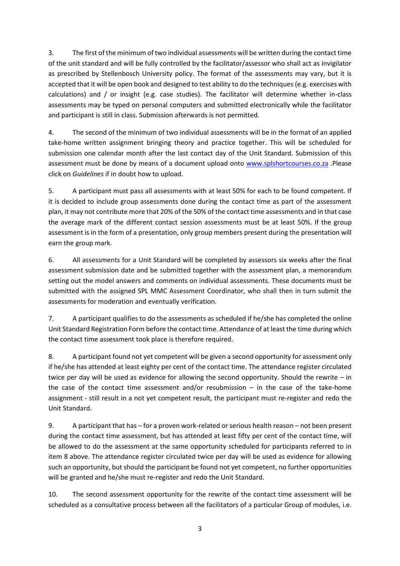3. The first of the minimum of two individual assessments will be written during the contact time of the unit standard and will be fully controlled by the facilitator/assessor who shall act as invigilator as prescribed by Stellenbosch University policy. The format of the assessments may vary, but it is accepted that it will be open book and designed to test ability to do the techniques (e.g. exercises with calculations) and / or insight (e.g. case studies). The facilitator will determine whether in-class assessments may be typed on personal computers and submitted electronically while the facilitator and participant is still in class. Submission afterwards is not permitted.

4. The second of the minimum of two individual assessments will be in the format of an applied take-home written assignment bringing theory and practice together. This will be scheduled for submission one calendar month after the last contact day of the Unit Standard. Submission of this assessment must be done by means of a document upload onto [www.splshortcourses.co.za](http://www.splshortcourses.co.za/) .Please click on *Guidelines* if in doubt how to upload.

5. A participant must pass all assessments with at least 50% for each to be found competent. If it is decided to include group assessments done during the contact time as part of the assessment plan, it may not contribute more that 20% of the 50% of the contact time assessments and in that case the average mark of the different contact session assessments must be at least 50%. If the group assessment is in the form of a presentation, only group members present during the presentation will earn the group mark.

6. All assessments for a Unit Standard will be completed by assessors six weeks after the final assessment submission date and be submitted together with the assessment plan, a memorandum setting out the model answers and comments on individual assessments. These documents must be submitted with the assigned SPL MMC Assessment Coordinator, who shall then in turn submit the assessments for moderation and eventually verification.

7. A participant qualifies to do the assessments as scheduled if he/she has completed the online Unit Standard Registration Form before the contact time. Attendance of at least the time during which the contact time assessment took place is therefore required.

8. A participant found not yet competent will be given a second opportunity for assessment only if he/she has attended at least eighty per cent of the contact time. The attendance register circulated twice per day will be used as evidence for allowing the second opportunity. Should the rewrite – in the case of the contact time assessment and/or resubmission  $-$  in the case of the take-home assignment - still result in a not yet competent result, the participant must re-register and redo the Unit Standard.

9. A participant that has – for a proven work-related or serious health reason – not been present during the contact time assessment, but has attended at least fifty per cent of the contact time, will be allowed to do the assessment at the same opportunity scheduled for participants referred to in item 8 above. The attendance register circulated twice per day will be used as evidence for allowing such an opportunity, but should the participant be found not yet competent, no further opportunities will be granted and he/she must re-register and redo the Unit Standard.

10. The second assessment opportunity for the rewrite of the contact time assessment will be scheduled as a consultative process between all the facilitators of a particular Group of modules, i.e.